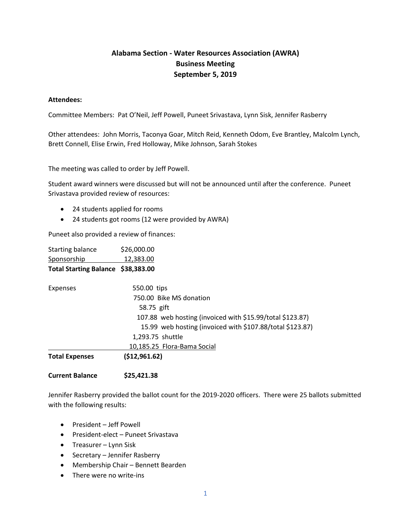## **Alabama Section - Water Resources Association (AWRA) Business Meeting September 5, 2019**

## **Attendees:**

Committee Members: Pat O'Neil, Jeff Powell, Puneet Srivastava, Lynn Sisk, Jennifer Rasberry

Other attendees: John Morris, Taconya Goar, Mitch Reid, Kenneth Odom, Eve Brantley, Malcolm Lynch, Brett Connell, Elise Erwin, Fred Holloway, Mike Johnson, Sarah Stokes

The meeting was called to order by Jeff Powell.

Student award winners were discussed but will not be announced until after the conference. Puneet Srivastava provided review of resources:

- 24 students applied for rooms
- 24 students got rooms (12 were provided by AWRA)

Puneet also provided a review of finances:

| <b>Starting balance</b>            | \$26,000.00                                               |  |
|------------------------------------|-----------------------------------------------------------|--|
| Sponsorship                        | 12,383.00                                                 |  |
| Total Starting Balance \$38,383.00 |                                                           |  |
| <b>Expenses</b>                    | 550.00 tips                                               |  |
|                                    | 750.00 Bike MS donation                                   |  |
|                                    | 58.75 gift                                                |  |
|                                    | 107.88 web hosting (invoiced with \$15.99/total \$123.87) |  |
|                                    | 15.99 web hosting (invoiced with \$107.88/total \$123.87) |  |
|                                    | 1,293.75 shuttle                                          |  |
|                                    | 10.185.25 Flora-Bama Social                               |  |
| <b>Total Expenses</b>              | ( \$12, 961.62)                                           |  |
|                                    |                                                           |  |

**Current Balance \$25,421.38**

Jennifer Rasberry provided the ballot count for the 2019-2020 officers. There were 25 ballots submitted with the following results:

- President Jeff Powell
- President-elect Puneet Srivastava
- Treasurer Lynn Sisk
- Secretary Jennifer Rasberry
- Membership Chair Bennett Bearden
- There were no write-ins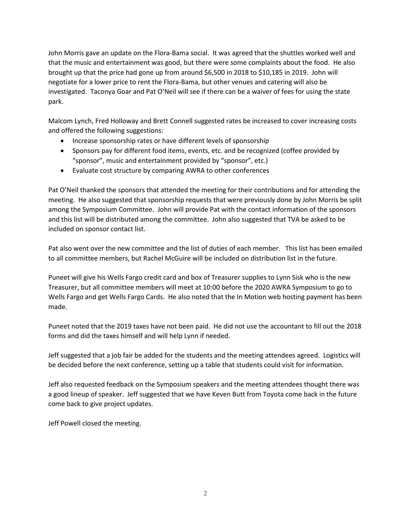John Morris gave an update on the Flora-Bama social. It was agreed that the shuttles worked well and that the music and entertainment was good, but there were some complaints about the food. He also brought up that the price had gone up from around \$6,500 in 2018 to \$10,185 in 2019. John will negotiate for a lower price to rent the Flora-Bama, but other venues and catering will also be investigated. Taconya Goar and Pat O'Neil will see if there can be a waiver of fees for using the state park.

Malcom Lynch, Fred Holloway and Brett Connell suggested rates be increased to cover increasing costs and offered the following suggestions:

- Increase sponsorship rates or have different levels of sponsorship
- Sponsors pay for different food items, events, etc. and be recognized (coffee provided by "sponsor", music and entertainment provided by "sponsor", etc.)
- Evaluate cost structure by comparing AWRA to other conferences

Pat O'Neil thanked the sponsors that attended the meeting for their contributions and for attending the meeting. He also suggested that sponsorship requests that were previously done by John Morris be split among the Symposium Committee. John will provide Pat with the contact information of the sponsors and this list will be distributed among the committee. John also suggested that TVA be asked to be included on sponsor contact list.

Pat also went over the new committee and the list of duties of each member. This list has been emailed to all committee members, but Rachel McGuire will be included on distribution list in the future.

Puneet will give his Wells Fargo credit card and box of Treasurer supplies to Lynn Sisk who is the new Treasurer, but all committee members will meet at 10:00 before the 2020 AWRA Symposium to go to Wells Fargo and get Wells Fargo Cards. He also noted that the In Motion web hosting payment has been made.

Puneet noted that the 2019 taxes have not been paid. He did not use the accountant to fill out the 2018 forms and did the taxes himself and will help Lynn if needed.

Jeff suggested that a job fair be added for the students and the meeting attendees agreed. Logistics will be decided before the next conference, setting up a table that students could visit for information.

Jeff also requested feedback on the Symposium speakers and the meeting attendees thought there was a good lineup of speaker. Jeff suggested that we have Keven Butt from Toyota come back in the future come back to give project updates.

Jeff Powell closed the meeting.